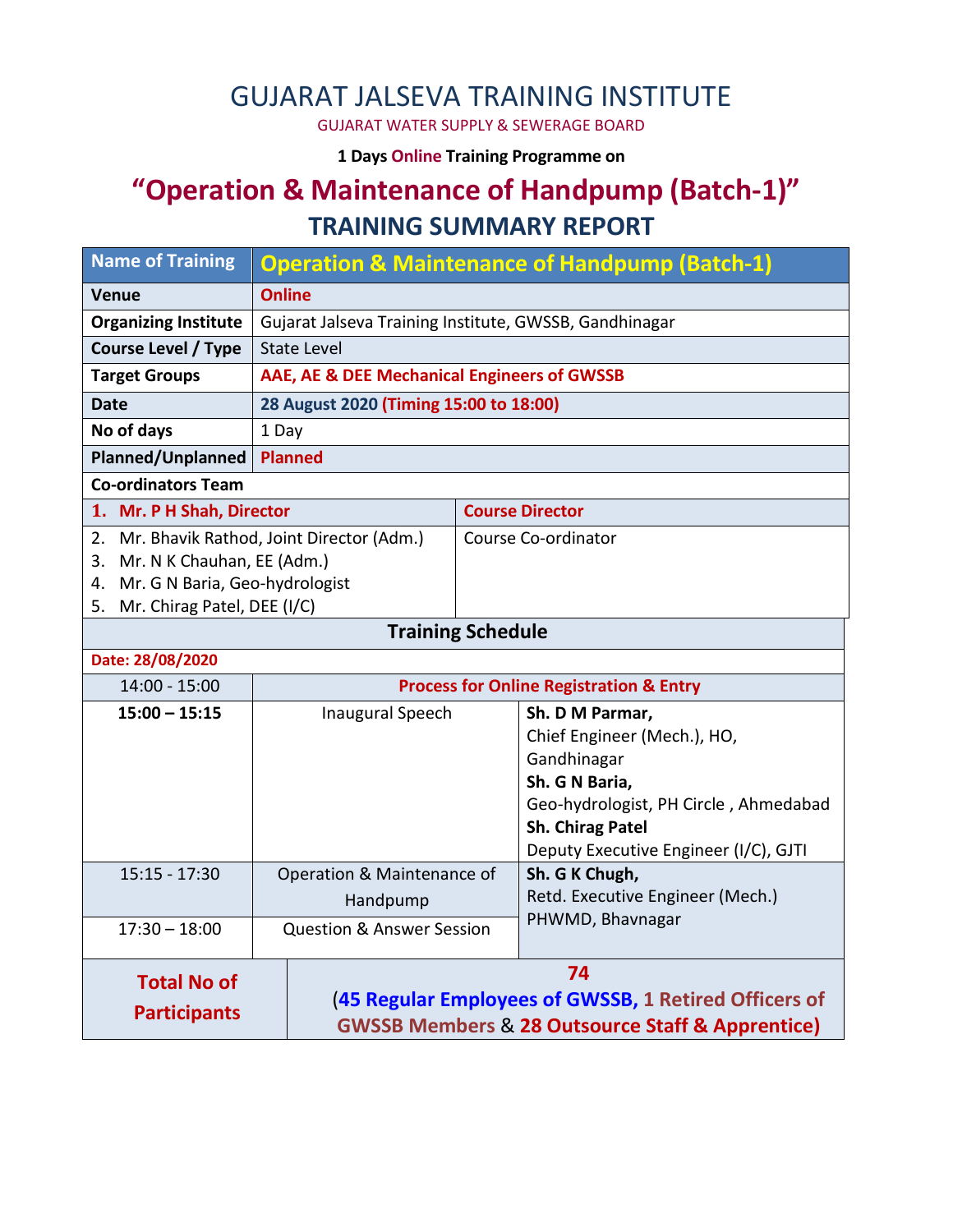# GUJARAT JALSEVA TRAINING INSTITUTE

GUJARAT WATER SUPPLY & SEWERAGE BOARD

**1 Days Online Training Programme on** 

# **"Operation & Maintenance of Handpump (Batch-1)" TRAINING SUMMARY REPORT**

| <b>Name of Training</b>           | <b>Operation &amp; Maintenance of Handpump (Batch-1)</b>        |                                                    |                                                                  |  |  |
|-----------------------------------|-----------------------------------------------------------------|----------------------------------------------------|------------------------------------------------------------------|--|--|
| <b>Venue</b>                      | <b>Online</b>                                                   |                                                    |                                                                  |  |  |
| <b>Organizing Institute</b>       | Gujarat Jalseva Training Institute, GWSSB, Gandhinagar          |                                                    |                                                                  |  |  |
| <b>Course Level / Type</b>        | <b>State Level</b>                                              |                                                    |                                                                  |  |  |
| <b>Target Groups</b>              | AAE, AE & DEE Mechanical Engineers of GWSSB                     |                                                    |                                                                  |  |  |
| <b>Date</b>                       | 28 August 2020 (Timing 15:00 to 18:00)                          |                                                    |                                                                  |  |  |
| No of days                        | 1 Day                                                           |                                                    |                                                                  |  |  |
| <b>Planned/Unplanned</b>          | <b>Planned</b>                                                  |                                                    |                                                                  |  |  |
| <b>Co-ordinators Team</b>         |                                                                 |                                                    |                                                                  |  |  |
| 1. Mr. P H Shah, Director         |                                                                 | <b>Course Director</b>                             |                                                                  |  |  |
|                                   | 2. Mr. Bhavik Rathod, Joint Director (Adm.)                     | Course Co-ordinator                                |                                                                  |  |  |
| 3. Mr. N K Chauhan, EE (Adm.)     |                                                                 |                                                    |                                                                  |  |  |
| 4. Mr. G N Baria, Geo-hydrologist |                                                                 |                                                    |                                                                  |  |  |
| 5. Mr. Chirag Patel, DEE (I/C)    |                                                                 |                                                    |                                                                  |  |  |
|                                   |                                                                 | <b>Training Schedule</b>                           |                                                                  |  |  |
| Date: 28/08/2020                  |                                                                 |                                                    |                                                                  |  |  |
| 14:00 - 15:00                     |                                                                 | <b>Process for Online Registration &amp; Entry</b> |                                                                  |  |  |
| $15:00 - 15:15$                   | <b>Inaugural Speech</b>                                         |                                                    | Sh. D M Parmar,                                                  |  |  |
|                                   |                                                                 |                                                    | Chief Engineer (Mech.), HO,                                      |  |  |
|                                   |                                                                 |                                                    | Gandhinagar                                                      |  |  |
|                                   |                                                                 |                                                    | Sh. G N Baria,                                                   |  |  |
|                                   |                                                                 |                                                    | Geo-hydrologist, PH Circle, Ahmedabad                            |  |  |
|                                   |                                                                 |                                                    | <b>Sh. Chirag Patel</b><br>Deputy Executive Engineer (I/C), GJTI |  |  |
| $15:15 - 17:30$                   | Operation & Maintenance of                                      |                                                    | Sh. G K Chugh,                                                   |  |  |
|                                   | Handpump                                                        |                                                    | Retd. Executive Engineer (Mech.)                                 |  |  |
|                                   |                                                                 |                                                    | PHWMD, Bhavnagar                                                 |  |  |
| $17:30 - 18:00$                   | <b>Question &amp; Answer Session</b>                            |                                                    |                                                                  |  |  |
| <b>Total No of</b>                | 74                                                              |                                                    |                                                                  |  |  |
|                                   | (45 Regular Employees of GWSSB, 1 Retired Officers of           |                                                    |                                                                  |  |  |
| <b>Participants</b>               | <b>GWSSB Members &amp; 28 Outsource Staff &amp; Apprentice)</b> |                                                    |                                                                  |  |  |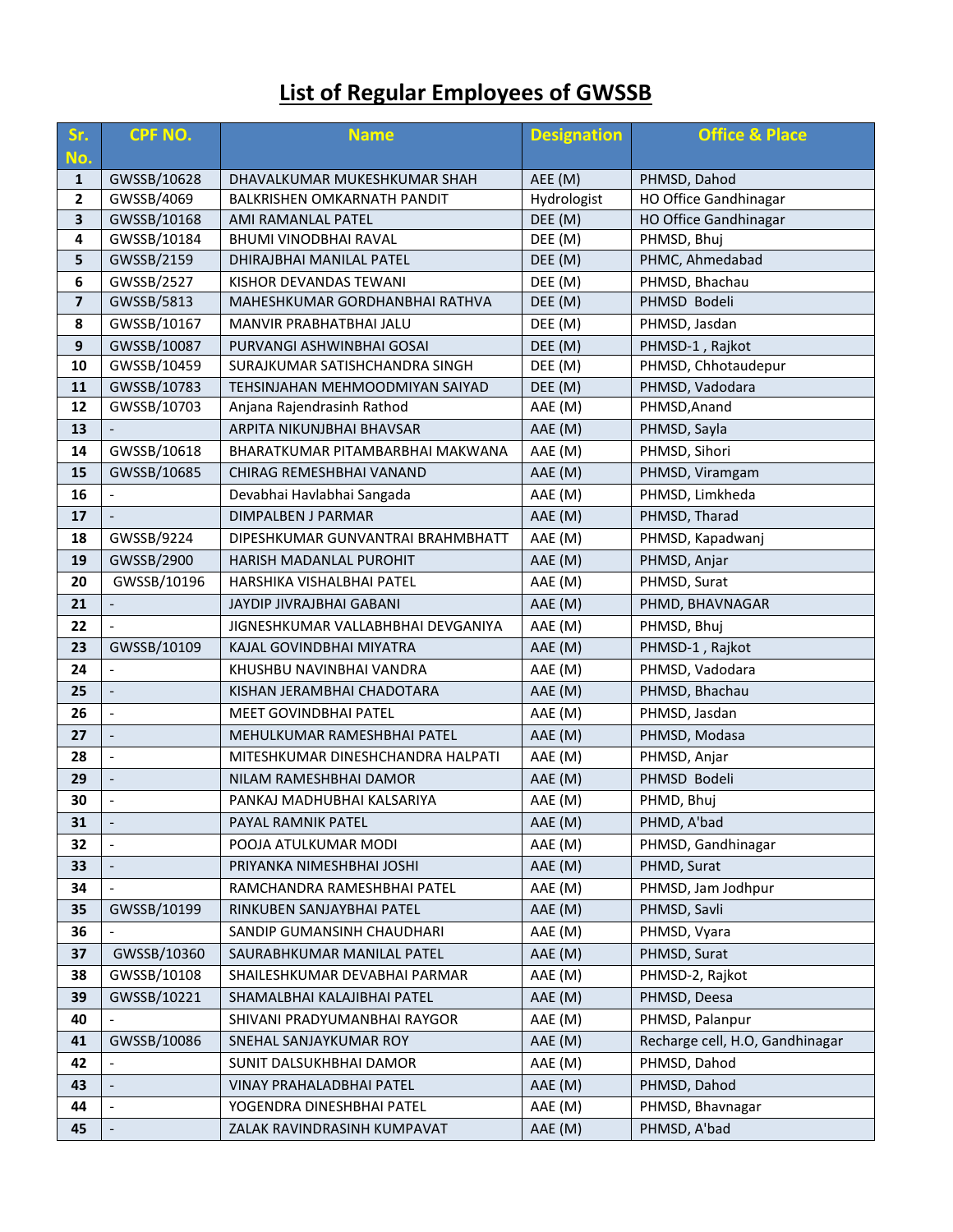## **List of Regular Employees of GWSSB**

| Sr.<br>No.              | <b>CPF NO.</b>           | <b>Designation</b><br><b>Name</b>                          |             | <b>Office &amp; Place</b>       |
|-------------------------|--------------------------|------------------------------------------------------------|-------------|---------------------------------|
| 1                       | GWSSB/10628              | DHAVALKUMAR MUKESHKUMAR SHAH                               | AEE (M)     | PHMSD, Dahod                    |
| $\mathbf{2}$            | GWSSB/4069               | BALKRISHEN OMKARNATH PANDIT                                | Hydrologist | HO Office Gandhinagar           |
| 3                       | GWSSB/10168              | AMI RAMANLAL PATEL                                         | DEE (M)     | <b>HO Office Gandhinagar</b>    |
| 4                       | GWSSB/10184              | BHUMI VINODBHAI RAVAL                                      | DEE (M)     | PHMSD, Bhuj                     |
| 5                       | GWSSB/2159               | DHIRAJBHAI MANILAL PATEL                                   | DEE (M)     | PHMC, Ahmedabad                 |
| $\boldsymbol{6}$        | GWSSB/2527               | KISHOR DEVANDAS TEWANI                                     | DEE (M)     | PHMSD, Bhachau                  |
| $\overline{\mathbf{z}}$ | GWSSB/5813               | MAHESHKUMAR GORDHANBHAI RATHVA                             | DEE (M)     | PHMSD Bodeli                    |
| 8                       | GWSSB/10167              | MANVIR PRABHATBHAI JALU                                    | DEE (M)     | PHMSD, Jasdan                   |
| 9                       | GWSSB/10087              | PURVANGI ASHWINBHAI GOSAI                                  | DEE (M)     | PHMSD-1, Rajkot                 |
| 10                      | GWSSB/10459              | SURAJKUMAR SATISHCHANDRA SINGH                             | DEE (M)     | PHMSD, Chhotaudepur             |
| 11                      | GWSSB/10783              | TEHSINJAHAN MEHMOODMIYAN SAIYAD                            | DEE (M)     | PHMSD, Vadodara                 |
| 12                      | GWSSB/10703              | Anjana Rajendrasinh Rathod                                 | AAE (M)     | PHMSD, Anand                    |
| 13                      |                          | ARPITA NIKUNJBHAI BHAVSAR                                  | AAE (M)     | PHMSD, Sayla                    |
| 14                      | GWSSB/10618              | BHARATKUMAR PITAMBARBHAI MAKWANA                           | AAE (M)     | PHMSD, Sihori                   |
| 15                      | GWSSB/10685              | CHIRAG REMESHBHAI VANAND                                   | AAE (M)     | PHMSD, Viramgam                 |
| 16                      |                          | Devabhai Havlabhai Sangada                                 | AAE (M)     | PHMSD, Limkheda                 |
| 17                      |                          | DIMPALBEN J PARMAR                                         | AAE (M)     | PHMSD, Tharad                   |
| 18                      | GWSSB/9224               | DIPESHKUMAR GUNVANTRAI BRAHMBHATT                          | AAE (M)     | PHMSD, Kapadwanj                |
| 19                      | GWSSB/2900               | HARISH MADANLAL PUROHIT<br>AAE (M)                         |             | PHMSD, Anjar                    |
| 20                      | GWSSB/10196              | HARSHIKA VISHALBHAI PATEL                                  | AAE (M)     | PHMSD, Surat                    |
| 21                      |                          | <b>JAYDIP JIVRAJBHAI GABANI</b>                            | AAE (M)     | PHMD, BHAVNAGAR                 |
| 22                      |                          | JIGNESHKUMAR VALLABHBHAI DEVGANIYA                         | AAE (M)     | PHMSD, Bhuj                     |
| 23                      | GWSSB/10109              | KAJAL GOVINDBHAI MIYATRA                                   | AAE (M)     | PHMSD-1, Rajkot                 |
| 24                      |                          | KHUSHBU NAVINBHAI VANDRA                                   | AAE (M)     | PHMSD, Vadodara                 |
| 25                      |                          | KISHAN JERAMBHAI CHADOTARA                                 | AAE (M)     | PHMSD, Bhachau                  |
| 26                      | $\overline{\phantom{a}}$ | <b>MEET GOVINDBHAI PATEL</b>                               | AAE (M)     | PHMSD, Jasdan                   |
| 27                      | $\Box$                   | MEHULKUMAR RAMESHBHAI PATEL                                | AAE (M)     | PHMSD, Modasa                   |
| 28                      |                          | MITESHKUMAR DINESHCHANDRA HALPATI                          | AAE (M)     | PHMSD, Anjar                    |
| 29                      | $\overline{\phantom{a}}$ | NILAM RAMESHBHAI DAMOR                                     | AAE (M)     | PHMSD Bodeli                    |
| 30                      | $\qquad \qquad \Box$     | PANKAJ MADHUBHAI KALSARIYA                                 | AAE (M)     | PHMD, Bhuj                      |
| 31                      | $\overline{a}$           | PAYAL RAMNIK PATEL                                         | AAE (M)     | PHMD, A'bad                     |
| 32                      |                          | POOJA ATULKUMAR MODI                                       | AAE (M)     | PHMSD, Gandhinagar              |
| 33                      | $\overline{a}$           | PRIYANKA NIMESHBHAI JOSHI                                  | AAE (M)     | PHMD, Surat                     |
| 34                      |                          | RAMCHANDRA RAMESHBHAI PATEL                                | AAE (M)     | PHMSD, Jam Jodhpur              |
| 35                      | GWSSB/10199              | AAE (M)<br>PHMSD, Savli<br>RINKUBEN SANJAYBHAI PATEL       |             |                                 |
| 36                      |                          | AAE (M)<br>SANDIP GUMANSINH CHAUDHARI<br>PHMSD, Vyara      |             |                                 |
| 37                      | GWSSB/10360              | AAE (M)<br>PHMSD, Surat<br>SAURABHKUMAR MANILAL PATEL      |             |                                 |
| 38                      | GWSSB/10108              | SHAILESHKUMAR DEVABHAI PARMAR                              | AAE (M)     | PHMSD-2, Rajkot                 |
| 39                      | GWSSB/10221              | SHAMALBHAI KALAJIBHAI PATEL                                | AAE (M)     | PHMSD, Deesa                    |
| 40                      |                          | AAE (M)<br>PHMSD, Palanpur<br>SHIVANI PRADYUMANBHAI RAYGOR |             |                                 |
| 41                      | GWSSB/10086              | SNEHAL SANJAYKUMAR ROY                                     | AAE (M)     | Recharge cell, H.O, Gandhinagar |
| 42                      |                          | SUNIT DALSUKHBHAI DAMOR                                    | AAE (M)     | PHMSD, Dahod                    |
| 43                      |                          | VINAY PRAHALADBHAI PATEL                                   | AAE (M)     | PHMSD, Dahod                    |
| 44                      | $\overline{a}$           | YOGENDRA DINESHBHAI PATEL                                  | AAE (M)     | PHMSD, Bhavnagar                |
| 45                      |                          | ZALAK RAVINDRASINH KUMPAVAT                                | AAE (M)     | PHMSD, A'bad                    |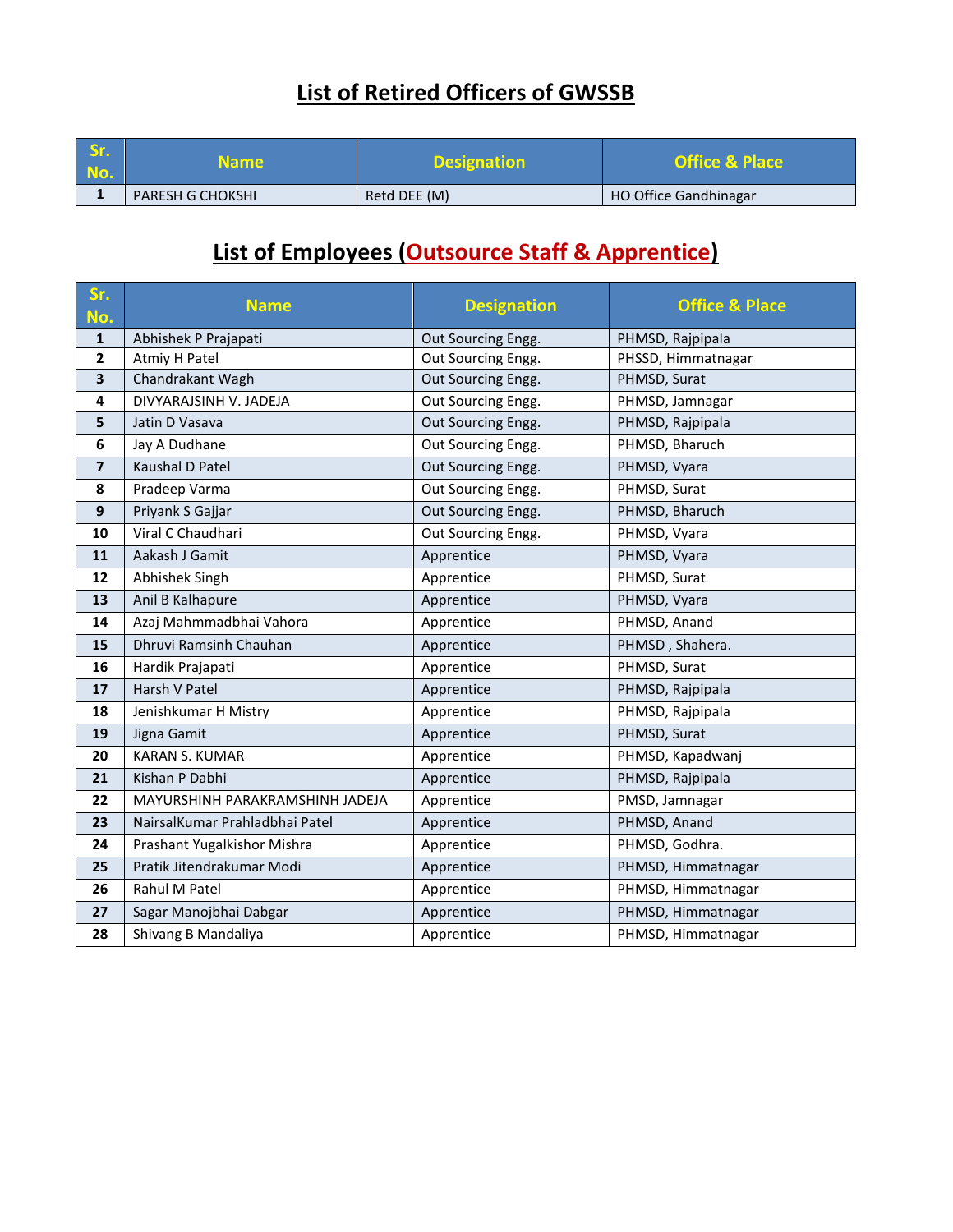### **List of Retired Officers of GWSSB**

| Sr.<br>No. | <b>Name</b>             | <b>Designation</b> | <b>Office &amp; Place</b> |
|------------|-------------------------|--------------------|---------------------------|
|            | <b>PARESH G CHOKSHI</b> | Retd DEE (M)       | HO Office Gandhinagar     |

### **List of Employees (Outsource Staff & Apprentice)**

| Sr.<br>No.              | <b>Name</b>                     | <b>Designation</b> | <b>Office &amp; Place</b> |
|-------------------------|---------------------------------|--------------------|---------------------------|
| $\mathbf{1}$            | Abhishek P Prajapati            | Out Sourcing Engg. | PHMSD, Rajpipala          |
| 2                       | Atmiy H Patel                   | Out Sourcing Engg. | PHSSD, Himmatnagar        |
| 3                       | Chandrakant Wagh                | Out Sourcing Engg. | PHMSD, Surat              |
| 4                       | DIVYARAJSINH V. JADEJA          | Out Sourcing Engg. | PHMSD, Jamnagar           |
| 5                       | Jatin D Vasava                  | Out Sourcing Engg. | PHMSD, Rajpipala          |
| 6                       | Jay A Dudhane                   | Out Sourcing Engg. | PHMSD, Bharuch            |
| $\overline{\mathbf{z}}$ | Kaushal D Patel                 | Out Sourcing Engg. | PHMSD, Vyara              |
| 8                       | Pradeep Varma                   | Out Sourcing Engg. | PHMSD, Surat              |
| $\boldsymbol{9}$        | Priyank S Gajjar                | Out Sourcing Engg. | PHMSD, Bharuch            |
| 10                      | Viral C Chaudhari               | Out Sourcing Engg. | PHMSD, Vyara              |
| 11                      | Aakash J Gamit                  | Apprentice         | PHMSD, Vyara              |
| 12                      | Abhishek Singh                  | Apprentice         | PHMSD, Surat              |
| 13                      | Anil B Kalhapure                | Apprentice         | PHMSD, Vyara              |
| 14                      | Azaj Mahmmadbhai Vahora         | Apprentice         | PHMSD, Anand              |
| 15                      | Dhruvi Ramsinh Chauhan          | Apprentice         | PHMSD, Shahera.           |
| 16                      | Hardik Prajapati                | Apprentice         | PHMSD, Surat              |
| 17                      | Harsh V Patel                   | Apprentice         | PHMSD, Rajpipala          |
| 18                      | Jenishkumar H Mistry            | Apprentice         | PHMSD, Rajpipala          |
| 19                      | Jigna Gamit                     | Apprentice         | PHMSD, Surat              |
| 20                      | <b>KARAN S. KUMAR</b>           | Apprentice         | PHMSD, Kapadwanj          |
| 21                      | Kishan P Dabhi                  | Apprentice         | PHMSD, Rajpipala          |
| 22                      | MAYURSHINH PARAKRAMSHINH JADEJA | Apprentice         | PMSD, Jamnagar            |
| 23                      | NairsalKumar Prahladbhai Patel  | Apprentice         | PHMSD, Anand              |
| 24                      | Prashant Yugalkishor Mishra     | Apprentice         | PHMSD, Godhra.            |
| 25                      | Pratik Jitendrakumar Modi       | Apprentice         | PHMSD, Himmatnagar        |
| 26                      | Rahul M Patel                   | Apprentice         | PHMSD, Himmatnagar        |
| 27                      | Sagar Manojbhai Dabgar          | Apprentice         | PHMSD, Himmatnagar        |
| 28                      | Shivang B Mandaliya             | Apprentice         | PHMSD, Himmatnagar        |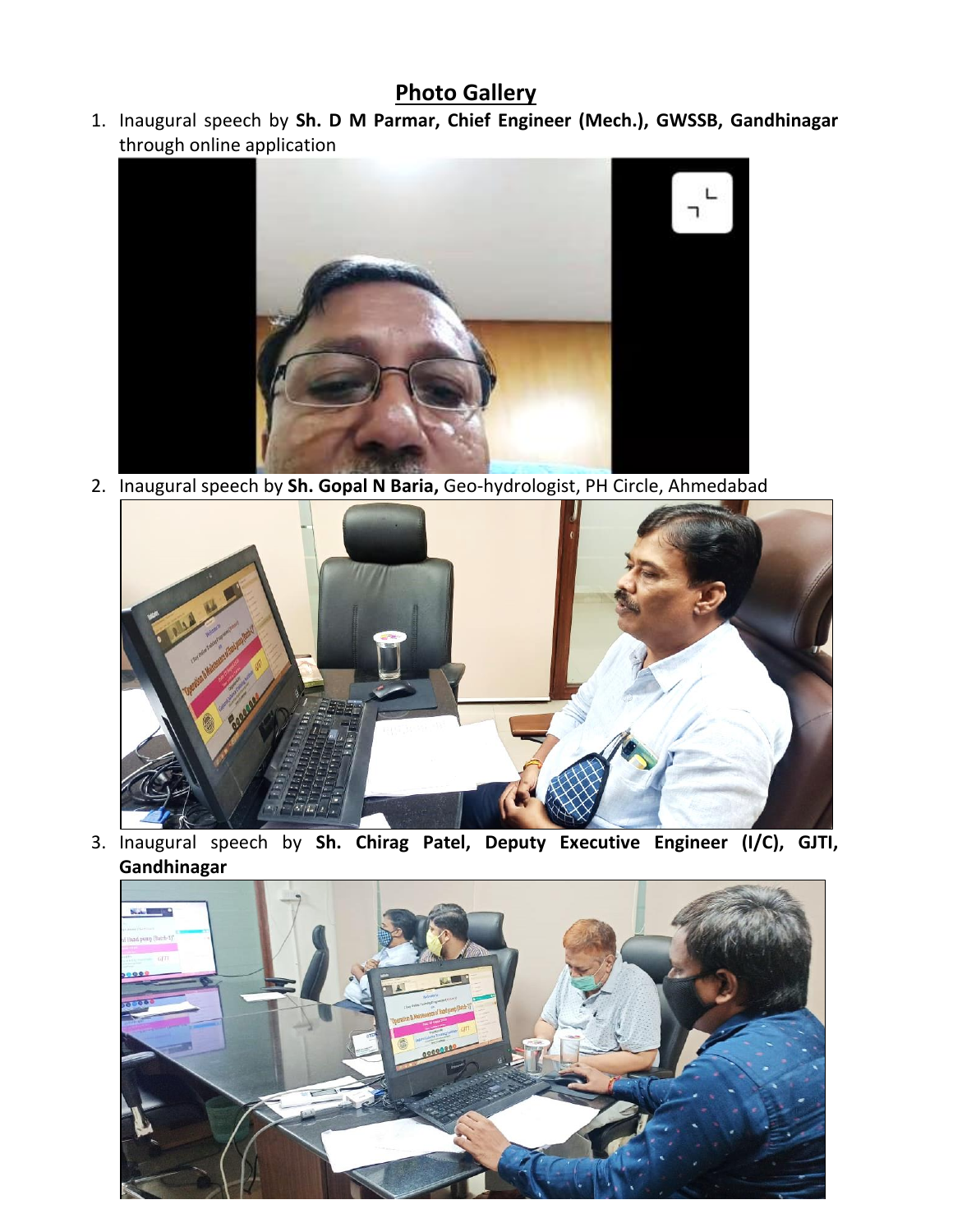#### **Photo Gallery**

1. Inaugural speech by **Sh. D M Parmar, Chief Engineer (Mech.), GWSSB, Gandhinagar** through online application



2. Inaugural speech by **Sh. Gopal N Baria,** Geo-hydrologist, PH Circle, Ahmedabad



3. Inaugural speech by **Sh. Chirag Patel, Deputy Executive Engineer (I/C), GJTI, Gandhinagar**